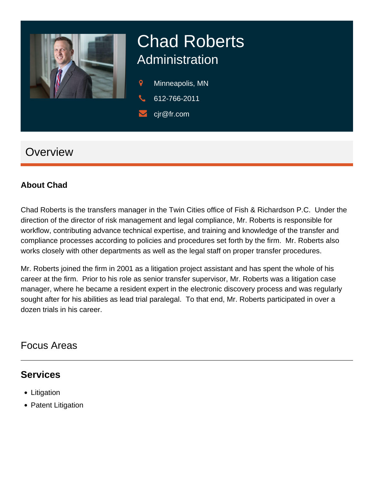

# Chad Roberts Administration

- 9 Minneapolis, MN
- 612-766-2011
- cjr@fr.com

# **Overview**

#### **About Chad**

Chad Roberts is the transfers manager in the Twin Cities office of Fish & Richardson P.C. Under the direction of the director of risk management and legal compliance, Mr. Roberts is responsible for workflow, contributing advance technical expertise, and training and knowledge of the transfer and compliance processes according to policies and procedures set forth by the firm. Mr. Roberts also works closely with other departments as well as the legal staff on proper transfer procedures.

Mr. Roberts joined the firm in 2001 as a litigation project assistant and has spent the whole of his career at the firm. Prior to his role as senior transfer supervisor, Mr. Roberts was a litigation case manager, where he became a resident expert in the electronic discovery process and was regularly sought after for his abilities as lead trial paralegal. To that end, Mr. Roberts participated in over a dozen trials in his career.

## Focus Areas

### **Services**

- Litigation
- Patent Litigation